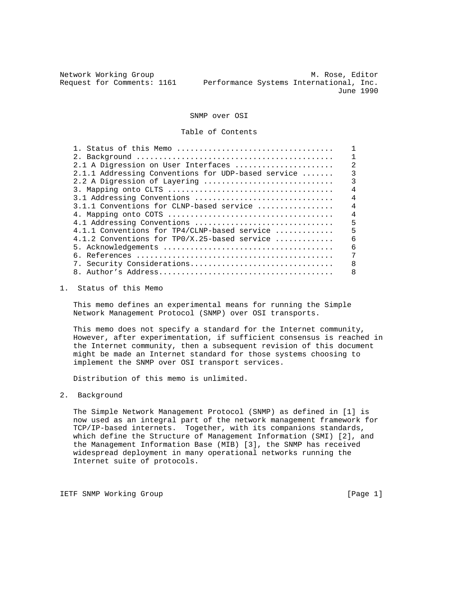Network Working Group M. Rose, Editor Request for Comments: 1161 Performance Systems International, Inc. June 1990

SNMP over OSI

Table of Contents

| 2.1 A Digression on User Interfaces                | 2              |
|----------------------------------------------------|----------------|
| 2.1.1 Addressing Conventions for UDP-based service | 3              |
| 2.2 A Digression of Layering                       | 3              |
|                                                    | 4              |
| 3.1 Addressing Conventions                         | 4              |
| 3.1.1 Conventions for CLNP-based service           | 4              |
|                                                    | $\overline{4}$ |
| 4.1 Addressing Conventions                         | 5              |
| 4.1.1 Conventions for TP4/CLNP-based service       | 5              |
| 4.1.2 Conventions for TPO/X.25-based service       | 6              |
|                                                    | 6              |
|                                                    | 7              |
| 7. Security Considerations                         | 8              |
|                                                    |                |
|                                                    |                |

1. Status of this Memo

 This memo defines an experimental means for running the Simple Network Management Protocol (SNMP) over OSI transports.

 This memo does not specify a standard for the Internet community, However, after experimentation, if sufficient consensus is reached in the Internet community, then a subsequent revision of this document might be made an Internet standard for those systems choosing to implement the SNMP over OSI transport services.

Distribution of this memo is unlimited.

2. Background

 The Simple Network Management Protocol (SNMP) as defined in [1] is now used as an integral part of the network management framework for TCP/IP-based internets. Together, with its companions standards, which define the Structure of Management Information (SMI) [2], and the Management Information Base (MIB) [3], the SNMP has received widespread deployment in many operational networks running the Internet suite of protocols.

IETF SNMP Working Group **Example 2018** [Page 1]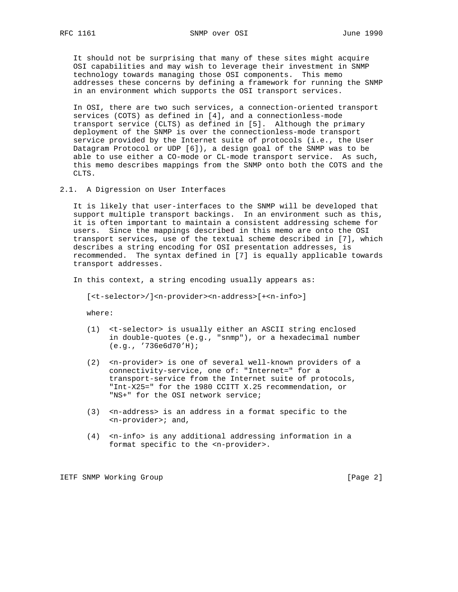It should not be surprising that many of these sites might acquire OSI capabilities and may wish to leverage their investment in SNMP technology towards managing those OSI components. This memo addresses these concerns by defining a framework for running the SNMP in an environment which supports the OSI transport services.

 In OSI, there are two such services, a connection-oriented transport services (COTS) as defined in [4], and a connectionless-mode transport service (CLTS) as defined in [5]. Although the primary deployment of the SNMP is over the connectionless-mode transport service provided by the Internet suite of protocols (i.e., the User Datagram Protocol or UDP [6]), a design goal of the SNMP was to be able to use either a CO-mode or CL-mode transport service. As such, this memo describes mappings from the SNMP onto both the COTS and the CLTS.

2.1. A Digression on User Interfaces

 It is likely that user-interfaces to the SNMP will be developed that support multiple transport backings. In an environment such as this, it is often important to maintain a consistent addressing scheme for users. Since the mappings described in this memo are onto the OSI transport services, use of the textual scheme described in [7], which describes a string encoding for OSI presentation addresses, is recommended. The syntax defined in [7] is equally applicable towards transport addresses.

In this context, a string encoding usually appears as:

[<t-selector>/]<n-provider><n-address>[+<n-info>]

where:

- (1) <t-selector> is usually either an ASCII string enclosed in double-quotes (e.g., "snmp"), or a hexadecimal number (e.g., '736e6d70'H);
- (2) <n-provider> is one of several well-known providers of a connectivity-service, one of: "Internet=" for a transport-service from the Internet suite of protocols, "Int-X25=" for the 1980 CCITT X.25 recommendation, or "NS+" for the OSI network service;
- (3) <n-address> is an address in a format specific to the <n-provider>; and,
- (4) <n-info> is any additional addressing information in a format specific to the <n-provider>.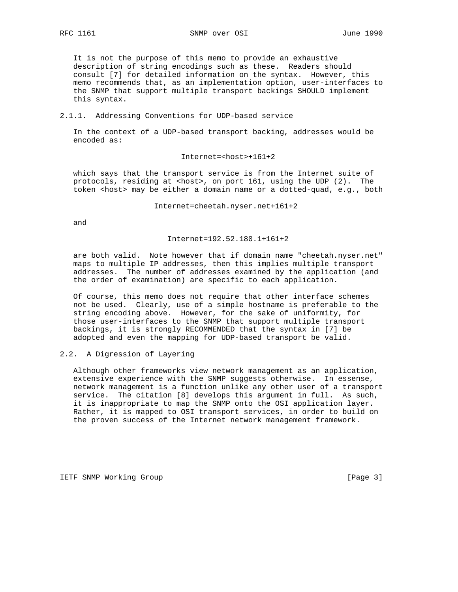It is not the purpose of this memo to provide an exhaustive description of string encodings such as these. Readers should consult [7] for detailed information on the syntax. However, this memo recommends that, as an implementation option, user-interfaces to the SNMP that support multiple transport backings SHOULD implement this syntax.

#### 2.1.1. Addressing Conventions for UDP-based service

 In the context of a UDP-based transport backing, addresses would be encoded as:

Internet=<host>+161+2

 which says that the transport service is from the Internet suite of protocols, residing at <host>, on port 161, using the UDP (2). The token <host> may be either a domain name or a dotted-quad, e.g., both

Internet=cheetah.nyser.net+161+2

and

#### Internet=192.52.180.1+161+2

 are both valid. Note however that if domain name "cheetah.nyser.net" maps to multiple IP addresses, then this implies multiple transport addresses. The number of addresses examined by the application (and the order of examination) are specific to each application.

 Of course, this memo does not require that other interface schemes not be used. Clearly, use of a simple hostname is preferable to the string encoding above. However, for the sake of uniformity, for those user-interfaces to the SNMP that support multiple transport backings, it is strongly RECOMMENDED that the syntax in [7] be adopted and even the mapping for UDP-based transport be valid.

### 2.2. A Digression of Layering

 Although other frameworks view network management as an application, extensive experience with the SNMP suggests otherwise. In essense, network management is a function unlike any other user of a transport service. The citation [8] develops this argument in full. As such, it is inappropriate to map the SNMP onto the OSI application layer. Rather, it is mapped to OSI transport services, in order to build on the proven success of the Internet network management framework.

IETF SNMP Working Group [Page 3]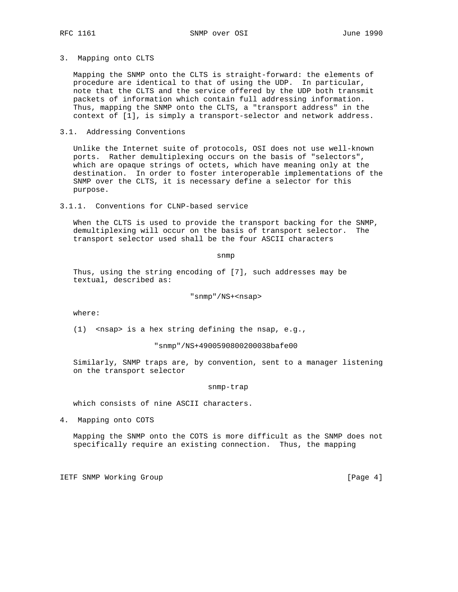### 3. Mapping onto CLTS

 Mapping the SNMP onto the CLTS is straight-forward: the elements of procedure are identical to that of using the UDP. In particular, note that the CLTS and the service offered by the UDP both transmit packets of information which contain full addressing information. Thus, mapping the SNMP onto the CLTS, a "transport address" in the context of [1], is simply a transport-selector and network address.

## 3.1. Addressing Conventions

 Unlike the Internet suite of protocols, OSI does not use well-known ports. Rather demultiplexing occurs on the basis of "selectors", which are opaque strings of octets, which have meaning only at the destination. In order to foster interoperable implementations of the SNMP over the CLTS, it is necessary define a selector for this purpose.

3.1.1. Conventions for CLNP-based service

 When the CLTS is used to provide the transport backing for the SNMP, demultiplexing will occur on the basis of transport selector. The transport selector used shall be the four ASCII characters

snmp $\mathbf s$ nmp $\mathbf s$ nmp $\mathbf s$ 

 Thus, using the string encoding of [7], such addresses may be textual, described as:

"snmp"/NS+<nsap>

where:

(1) <nsap> is a hex string defining the nsap, e.g.,

"snmp"/NS+4900590800200038bafe00

 Similarly, SNMP traps are, by convention, sent to a manager listening on the transport selector

snmp-trap

which consists of nine ASCII characters.

4. Mapping onto COTS

 Mapping the SNMP onto the COTS is more difficult as the SNMP does not specifically require an existing connection. Thus, the mapping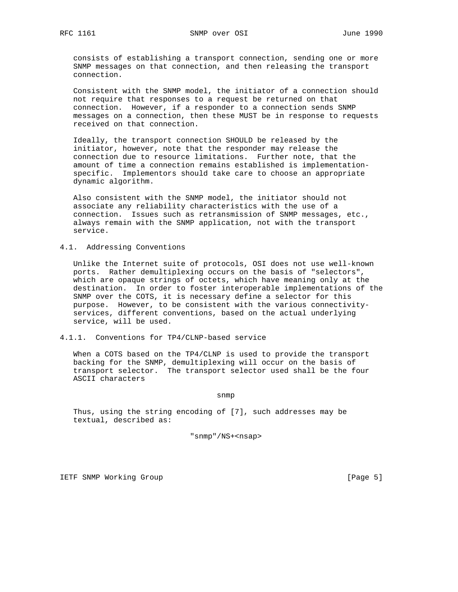consists of establishing a transport connection, sending one or more SNMP messages on that connection, and then releasing the transport connection.

 Consistent with the SNMP model, the initiator of a connection should not require that responses to a request be returned on that connection. However, if a responder to a connection sends SNMP messages on a connection, then these MUST be in response to requests received on that connection.

 Ideally, the transport connection SHOULD be released by the initiator, however, note that the responder may release the connection due to resource limitations. Further note, that the amount of time a connection remains established is implementation specific. Implementors should take care to choose an appropriate dynamic algorithm.

 Also consistent with the SNMP model, the initiator should not associate any reliability characteristics with the use of a connection. Issues such as retransmission of SNMP messages, etc., always remain with the SNMP application, not with the transport service.

4.1. Addressing Conventions

 Unlike the Internet suite of protocols, OSI does not use well-known ports. Rather demultiplexing occurs on the basis of "selectors", which are opaque strings of octets, which have meaning only at the destination. In order to foster interoperable implementations of the SNMP over the COTS, it is necessary define a selector for this purpose. However, to be consistent with the various connectivity services, different conventions, based on the actual underlying service, will be used.

4.1.1. Conventions for TP4/CLNP-based service

 When a COTS based on the TP4/CLNP is used to provide the transport backing for the SNMP, demultiplexing will occur on the basis of transport selector. The transport selector used shall be the four ASCII characters

snmp and the state of the state of the state of the state of the state of the state of the state of the state o

 Thus, using the string encoding of [7], such addresses may be textual, described as:

"snmp"/NS+<nsap>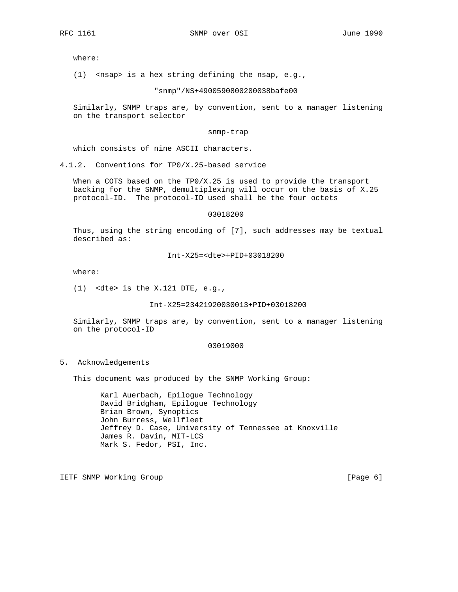where:

(1) <nsap> is a hex string defining the nsap, e.g.,

"snmp"/NS+4900590800200038bafe00

 Similarly, SNMP traps are, by convention, sent to a manager listening on the transport selector

snmp-trap

which consists of nine ASCII characters.

4.1.2. Conventions for TP0/X.25-based service

 When a COTS based on the TP0/X.25 is used to provide the transport backing for the SNMP, demultiplexing will occur on the basis of X.25 protocol-ID. The protocol-ID used shall be the four octets

03018200

 Thus, using the string encoding of [7], such addresses may be textual described as:

Int-X25=<dte>+PID+03018200

where:

(1) <dte> is the X.121 DTE, e.g.,

Int-X25=23421920030013+PID+03018200

 Similarly, SNMP traps are, by convention, sent to a manager listening on the protocol-ID

# 03019000

#### 5. Acknowledgements

This document was produced by the SNMP Working Group:

 Karl Auerbach, Epilogue Technology David Bridgham, Epilogue Technology Brian Brown, Synoptics John Burress, Wellfleet Jeffrey D. Case, University of Tennessee at Knoxville James R. Davin, MIT-LCS Mark S. Fedor, PSI, Inc.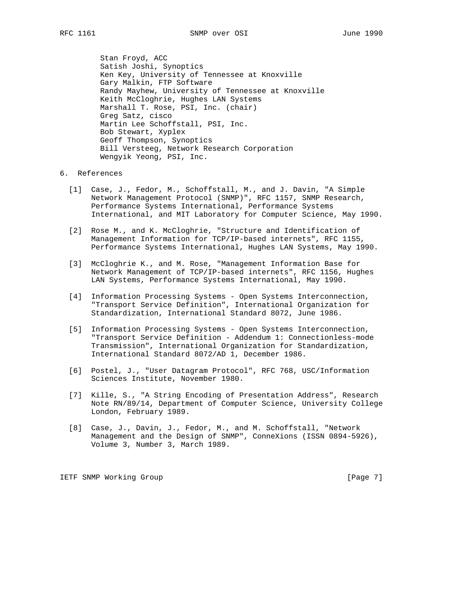Stan Froyd, ACC Satish Joshi, Synoptics Ken Key, University of Tennessee at Knoxville Gary Malkin, FTP Software Randy Mayhew, University of Tennessee at Knoxville Keith McCloghrie, Hughes LAN Systems Marshall T. Rose, PSI, Inc. (chair) Greg Satz, cisco Martin Lee Schoffstall, PSI, Inc. Bob Stewart, Xyplex Geoff Thompson, Synoptics Bill Versteeg, Network Research Corporation Wengyik Yeong, PSI, Inc.

## 6. References

- [1] Case, J., Fedor, M., Schoffstall, M., and J. Davin, "A Simple Network Management Protocol (SNMP)", RFC 1157, SNMP Research, Performance Systems International, Performance Systems International, and MIT Laboratory for Computer Science, May 1990.
- [2] Rose M., and K. McCloghrie, "Structure and Identification of Management Information for TCP/IP-based internets", RFC 1155, Performance Systems International, Hughes LAN Systems, May 1990.
- [3] McCloghrie K., and M. Rose, "Management Information Base for Network Management of TCP/IP-based internets", RFC 1156, Hughes LAN Systems, Performance Systems International, May 1990.
- [4] Information Processing Systems Open Systems Interconnection, "Transport Service Definition", International Organization for Standardization, International Standard 8072, June 1986.
- [5] Information Processing Systems Open Systems Interconnection, "Transport Service Definition - Addendum 1: Connectionless-mode Transmission", International Organization for Standardization, International Standard 8072/AD 1, December 1986.
- [6] Postel, J., "User Datagram Protocol", RFC 768, USC/Information Sciences Institute, November 1980.
- [7] Kille, S., "A String Encoding of Presentation Address", Research Note RN/89/14, Department of Computer Science, University College London, February 1989.
- [8] Case, J., Davin, J., Fedor, M., and M. Schoffstall, "Network Management and the Design of SNMP", ConneXions (ISSN 0894-5926), Volume 3, Number 3, March 1989.